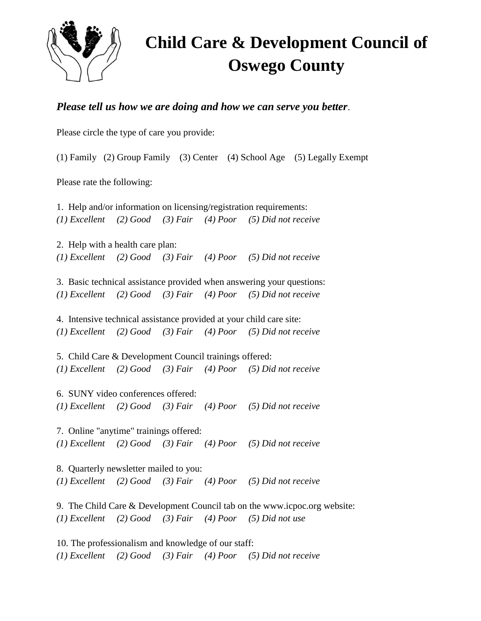

## **Child Care & Development Council of Oswego County**

## *Please tell us how we are doing and how we can serve you better*.

Please circle the type of care you provide:

(1) Family (2) Group Family (3) Center (4) School Age (5) Legally Exempt

Please rate the following:

1. Help and/or information on licensing/registration requirements: *(1) Excellent (2) Good (3) Fair (4) Poor (5) Did not receive*

2. Help with a health care plan: *(1) Excellent (2) Good (3) Fair (4) Poor (5) Did not receive*

3. Basic technical assistance provided when answering your questions: *(1) Excellent (2) Good (3) Fair (4) Poor (5) Did not receive*

4. Intensive technical assistance provided at your child care site: *(1) Excellent (2) Good (3) Fair (4) Poor (5) Did not receive*

5. Child Care & Development Council trainings offered: *(1) Excellent (2) Good (3) Fair (4) Poor (5) Did not receive*

6. SUNY video conferences offered: *(1) Excellent (2) Good (3) Fair (4) Poor (5) Did not receive*

7. Online "anytime" trainings offered: *(1) Excellent (2) Good (3) Fair (4) Poor (5) Did not receive*

8. Quarterly newsletter mailed to you: *(1) Excellent (2) Good (3) Fair (4) Poor (5) Did not receive*

9. The Child Care & Development Council tab on the www.icpoc.org website: *(1) Excellent (2) Good (3) Fair (4) Poor (5) Did not use*

10. The professionalism and knowledge of our staff: *(1) Excellent (2) Good (3) Fair (4) Poor (5) Did not receive*